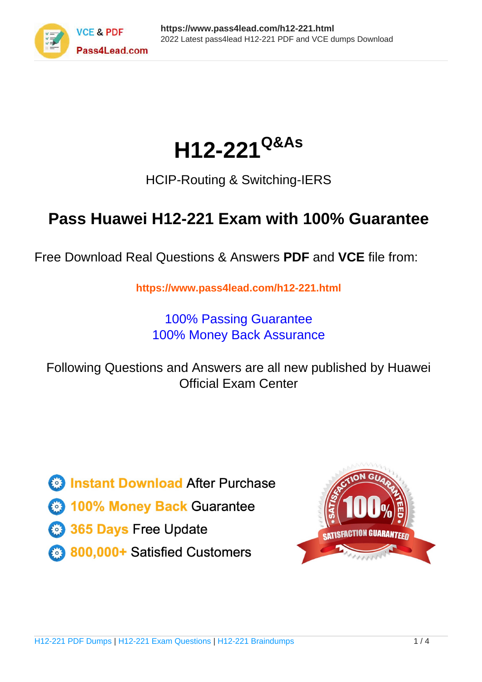

# **H12-221Q&As**

### HCIP-Routing & Switching-IERS

## **Pass Huawei H12-221 Exam with 100% Guarantee**

Free Download Real Questions & Answers **PDF** and **VCE** file from:

**https://www.pass4lead.com/h12-221.html**

100% Passing Guarantee 100% Money Back Assurance

Following Questions and Answers are all new published by Huawei Official Exam Center

**8 Instant Download After Purchase** 

**83 100% Money Back Guarantee** 

- 365 Days Free Update
- 800,000+ Satisfied Customers  $\epsilon$  or

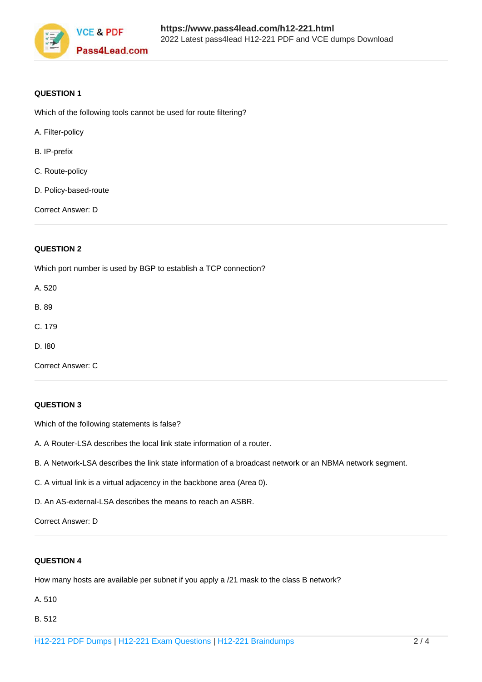

#### **QUESTION 1**

Which of the following tools cannot be used for route filtering?

- A. Filter-policy
- B. IP-prefix
- C. Route-policy
- D. Policy-based-route

Correct Answer: D

#### **QUESTION 2**

Which port number is used by BGP to establish a TCP connection?

A. 520

B. 89

- C. 179
- D. I80

Correct Answer: C

#### **QUESTION 3**

Which of the following statements is false?

- A. A Router-LSA describes the local link state information of a router.
- B. A Network-LSA describes the link state information of a broadcast network or an NBMA network segment.
- C. A virtual link is a virtual adjacency in the backbone area (Area 0).
- D. An AS-external-LSA describes the means to reach an ASBR.

Correct Answer: D

#### **QUESTION 4**

How many hosts are available per subnet if you apply a /21 mask to the class B network?

- A. 510
- B. 512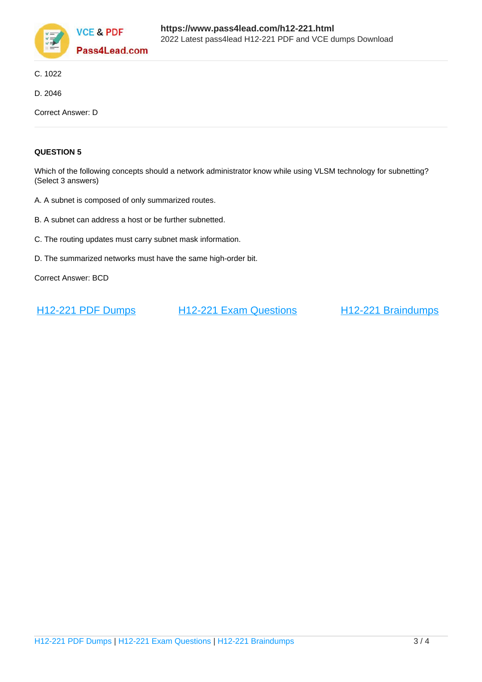

- C. 1022
- D. 2046

Correct Answer: D

#### **QUESTION 5**

Which of the following concepts should a network administrator know while using VLSM technology for subnetting? (Select 3 answers)

- A. A subnet is composed of only summarized routes.
- B. A subnet can address a host or be further subnetted.
- C. The routing updates must carry subnet mask information.
- D. The summarized networks must have the same high-order bit.

Correct Answer: BCD

[H12-221 PDF Dumps](https://www.pass4lead.com/h12-221.html) [H12-221 Exam Questions](https://www.pass4lead.com/h12-221.html) [H12-221 Braindumps](https://www.pass4lead.com/h12-221.html)